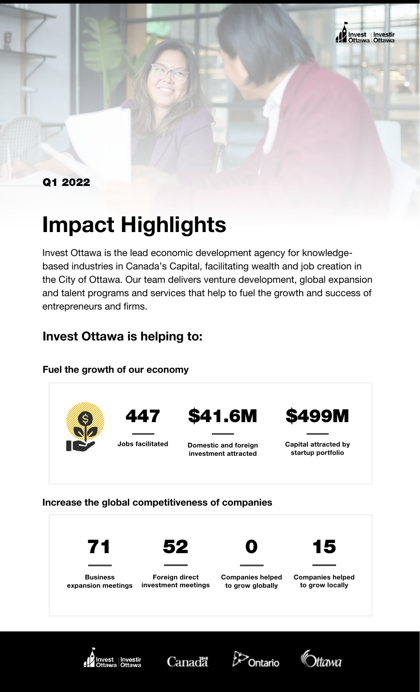

Q1 2022

# Impact Highlights

Invest Ottawa is the lead economic development agency for knowledgebased industries in Canada's Capital, facilitating wealth and job creation in the City of Ottawa. Our team delivers venture development, global expansion and talent programs and services that help to fuel the growth and success of entrepreneurs and firms.

# Invest Ottawa is helping to:

#### Fuel the growth of our economy



#### Increase the global competitiveness of companies









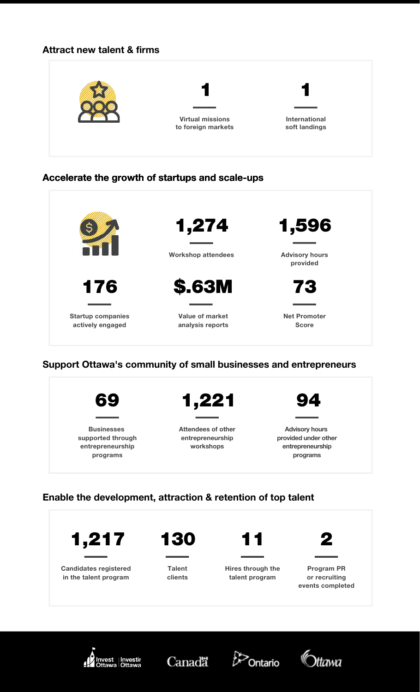#### Attract new talent & firms



#### Accelerate the growth of startups and scale-ups



#### Support Ottawa's community of small businesses and entrepreneurs



### Enable the development, attraction & retention of top talent









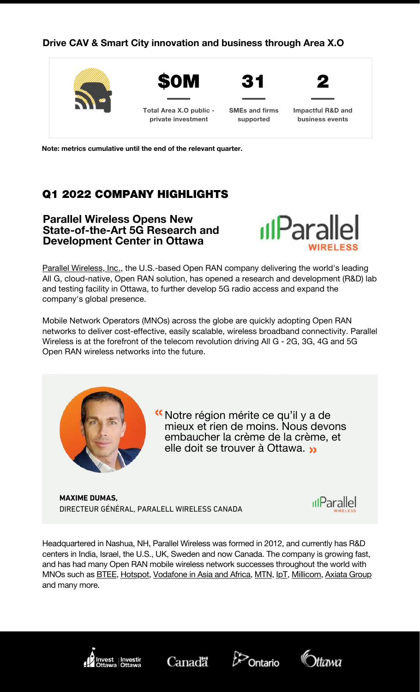#### Drive CAV & Smart City innovation and business through Area X.O



Note: metrics cumulative until the end of the relevant quarter.

# Q1 2022 COMPANY HIGHLIGHTS

#### Parallel Wireless Opens New [State-of-the-Art](https://www.rvezy.com/) 5G Research and Development Center in Ottawa



Parallel [Wireless,](https://c212.net/c/link/?t=0&l=en&o=3427041-1&h=1902479427&u=https%3A%2F%2Fwww.parallelwireless.com%2F&a=Parallel+Wireless%2C+Inc.) Inc., the U.S.-based Open RAN company delivering the world's leading All G, cloud-native, Open RAN solution, has opened a research and development (R&D) lab and testing facility in Ottawa, to further develop 5G radio access and expand the company's global presence.

Mobile Network Operators (MNOs) across the globe are quickly adopting Open RAN networks to deliver cost-effective, easily scalable, [wireless broadband](https://c212.net/c/link/?t=0&l=en&o=3427041-1&h=1902479427&u=https%3A%2F%2Fwww.parallelwireless.com%2F&a=Parallel+Wireless%2C+Inc.) connectivity. Parallel Wireless is at the forefront of the telecom revolution driving All G - 2G, 3G, 4G and 5G Open RAN wireless networks into the future.



Notre région mérite ce qu'il y a de « mieux et rien de moins. Nous devons embaucher la crème de la crème, et elle doit se trouver à Ottawa. «

DIRECTEUR GÉNÉRAL, PARALELL WIRELESS CANADA **MAXIME DUMAS,**



[Headquartered](https://c212.net/c/link/?t=0&l=en&o=3427041-1&h=1902479427&u=https%3A%2F%2Fwww.parallelwireless.com%2F&a=Parallel+Wireless%2C+Inc.) in Nashua, NH, Parallel Wireless was formed in 2012, and currently has R&D centers in India, Israel, the U.S., UK, Sweden and now Canada. The company is growing fast, and has had many Open RAN mobile wireless network successes throughout the world with MNOs such as **[BTEE,](https://c212.net/c/link/?t=0&l=en&o=3427041-1&h=1902479427&u=https%3A%2F%2Fwww.parallelwireless.com%2F&a=Parallel+Wireless%2C+Inc.) [Hotspot,](https://c212.net/c/link/?t=0&l=en&o=3427041-1&h=1902479427&u=https%3A%2F%2Fwww.parallelwireless.com%2F&a=Parallel+Wireless%2C+Inc.) [Vodafone](https://c212.net/c/link/?t=0&l=en&o=3427041-1&h=1902479427&u=https%3A%2F%2Fwww.parallelwireless.com%2F&a=Parallel+Wireless%2C+Inc.) in Asia and Africa**, [MTN,](https://c212.net/c/link/?t=0&l=en&o=3427041-1&h=1902479427&u=https%3A%2F%2Fwww.parallelwireless.com%2F&a=Parallel+Wireless%2C+Inc.) [IpT,](https://c212.net/c/link/?t=0&l=en&o=3427041-1&h=1902479427&u=https%3A%2F%2Fwww.parallelwireless.com%2F&a=Parallel+Wireless%2C+Inc.) [Millicom,](https://c212.net/c/link/?t=0&l=en&o=3427041-1&h=1902479427&u=https%3A%2F%2Fwww.parallelwireless.com%2F&a=Parallel+Wireless%2C+Inc.) Axiata [Group](https://c212.net/c/link/?t=0&l=en&o=3427041-1&h=1902479427&u=https%3A%2F%2Fwww.parallelwireless.com%2F&a=Parallel+Wireless%2C+Inc.) and many [more.](https://c212.net/c/link/?t=0&l=en&o=3427041-1&h=1902479427&u=https%3A%2F%2Fwww.parallelwireless.com%2F&a=Parallel+Wireless%2C+Inc.)







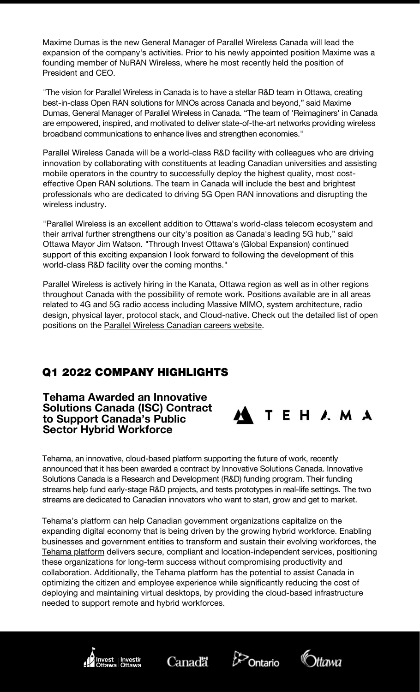Maxime Dumas is the new General Manager of Parallel Wireless Canada will lead the expansion of the company's activities. Prior to [his newly appointed](https://c212.net/c/link/?t=0&l=en&o=3427041-1&h=1902479427&u=https%3A%2F%2Fwww.parallelwireless.com%2F&a=Parallel+Wireless%2C+Inc.) position Maxime was a founding member of NuRAN Wireless, where he most recently held the position of President and CEO.

"The vision for Parallel Wireless in Canada is to have a stellar R&D team in Ottawa, creating best-in-class Open RAN solutions for MNOs across Canada and beyond," said Maxime Dumas, General Manager of Parallel Wireless in Canada. "The team of 'Reimaginers' in Canada are empowered, inspired, and motivated to deliver state-of-the-art networks providing wireless broadband [communications](https://c212.net/c/link/?t=0&l=en&o=3427041-1&h=1902479427&u=https%3A%2F%2Fwww.parallelwireless.com%2F&a=Parallel+Wireless%2C+Inc.) to enhance lives and strengthen economies."

Parallel Wireless Canada will be a world-class R&D facility with colleagues who are driving innovation by collaborating with constituents at leading Canadian universities and assisting mobile operators in the country to [successfully deploy the](https://c212.net/c/link/?t=0&l=en&o=3427041-1&h=1902479427&u=https%3A%2F%2Fwww.parallelwireless.com%2F&a=Parallel+Wireless%2C+Inc.) highest quality, most costeffective Open RAN solutions. The team in Canada will include the best and brightest professionals who are dedicated to driving 5G Open RAN innovations and disrupting the wireless industry.

"Parallel Wireless is an excellent addition to [Ottawa's world-class telecom](https://c212.net/c/link/?t=0&l=en&o=3427041-1&h=1902479427&u=https%3A%2F%2Fwww.parallelwireless.com%2F&a=Parallel+Wireless%2C+Inc.) ecosystem and their arrival further strengthens our city's position as Canada's leading 5G hub," said Ottawa Mayor Jim Watson. "Through Invest Ottawa's (Global Expansion) continued support of this exciting expansion I look forward to following the development of this world-class R&D facility over the coming months."

Parallel Wireless is actively hiring in the Kanata, Ottawa region as well as in other regions throughout Canada with the possibility of remote work. [Positions available](https://c212.net/c/link/?t=0&l=en&o=3427041-1&h=1902479427&u=https%3A%2F%2Fwww.parallelwireless.com%2F&a=Parallel+Wireless%2C+Inc.) are in all areas related to 4G and 5G radio access including Massive MIMO, system architecture, radio design, physical layer, protocol stack, and Cloud-native. Check out the detailed list of open positions on the Parallel Wireless [Canadian](https://c212.net/c/link/?t=0&l=en&o=3427041-1&h=1902479427&u=https%3A%2F%2Fwww.parallelwireless.com%2F&a=Parallel+Wireless%2C+Inc.) careers website[.](https://c212.net/c/link/?t=0&l=en&o=3427041-1&h=1902479427&u=https%3A%2F%2Fwww.parallelwireless.com%2F&a=Parallel+Wireless%2C+Inc.)

# Q1 2022 COMPANY HIGHLIGHTS

Tehama Awarded an Innovative Solutions Canada (ISC) Contract to Support Canada's Public Sector Hybrid Workforce



Tehama, an innovative, cloud-based platform supporting the future of work, recently announced that it has been awarded a contract by Innovative Solutions Canada. Innovative Solutions Canada is a Research and Development (R&D) funding program. Their funding streams help fund early-stage R&D projects, and tests prototypes in real-life settings. The two streams are dedicated to Canadian innovators who want to start, grow and get to market.

Tehama's platform can help Canadian government organizations capitalize on the expanding digital economy that is being driven by the growing hybrid workforce. Enabling businesses and government entities to transform and sustain their evolving workforces, the Tehama [platform](https://tehama.io/product/) delivers secure, compliant and location-independent services, positioning these organizations for long-term success without compromising productivity and collaboration. Additionally, the Tehama platform has the potential to assist Canada in optimizing the citizen and employee experience while significantly reducing the cost of deploying and maintaining virtual desktops, by providing the cloud-based infrastructure needed to support remote and hybrid workforces.